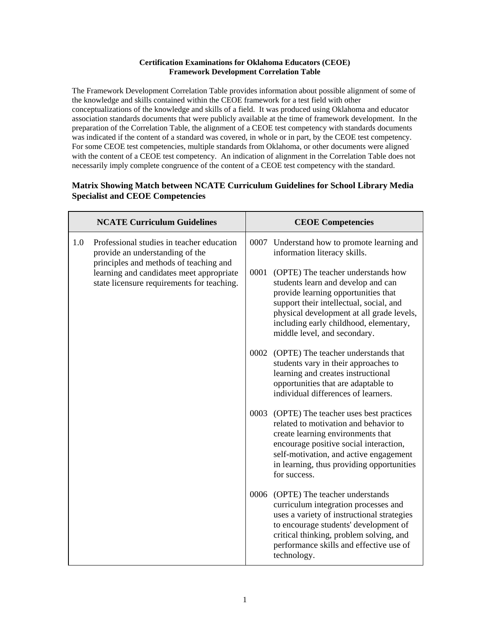## **Certification Examinations for Oklahoma Educators (CEOE) Framework Development Correlation Table**

The Framework Development Correlation Table provides information about possible alignment of some of the knowledge and skills contained within the CEOE framework for a test field with other conceptualizations of the knowledge and skills of a field. It was produced using Oklahoma and educator association standards documents that were publicly available at the time of framework development. In the preparation of the Correlation Table, the alignment of a CEOE test competency with standards documents was indicated if the content of a standard was covered, in whole or in part, by the CEOE test competency. For some CEOE test competencies, multiple standards from Oklahoma, or other documents were aligned with the content of a CEOE test competency. An indication of alignment in the Correlation Table does not necessarily imply complete congruence of the content of a CEOE test competency with the standard.

## **Matrix Showing Match between NCATE Curriculum Guidelines for School Library Media Specialist and CEOE Competencies**

|     | <b>NCATE Curriculum Guidelines</b>                                                                                               | <b>CEOE Competencies</b> |                                                                                                                                                                                                                                                                                   |  |
|-----|----------------------------------------------------------------------------------------------------------------------------------|--------------------------|-----------------------------------------------------------------------------------------------------------------------------------------------------------------------------------------------------------------------------------------------------------------------------------|--|
| 1.0 | Professional studies in teacher education<br>provide an understanding of the                                                     |                          | 0007 Understand how to promote learning and<br>information literacy skills.                                                                                                                                                                                                       |  |
|     | principles and methods of teaching and<br>learning and candidates meet appropriate<br>state licensure requirements for teaching. | 0001                     | (OPTE) The teacher understands how<br>students learn and develop and can<br>provide learning opportunities that<br>support their intellectual, social, and<br>physical development at all grade levels,<br>including early childhood, elementary,<br>middle level, and secondary. |  |
|     |                                                                                                                                  |                          | 0002 (OPTE) The teacher understands that<br>students vary in their approaches to<br>learning and creates instructional<br>opportunities that are adaptable to<br>individual differences of learners.                                                                              |  |
|     |                                                                                                                                  |                          | 0003 (OPTE) The teacher uses best practices<br>related to motivation and behavior to<br>create learning environments that<br>encourage positive social interaction,<br>self-motivation, and active engagement<br>in learning, thus providing opportunities<br>for success.        |  |
|     |                                                                                                                                  |                          | 0006 (OPTE) The teacher understands<br>curriculum integration processes and<br>uses a variety of instructional strategies<br>to encourage students' development of<br>critical thinking, problem solving, and<br>performance skills and effective use of<br>technology.           |  |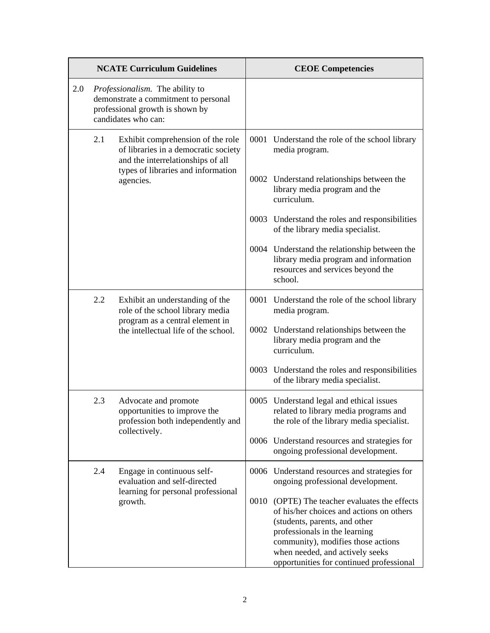|     |                                                                                                                                   | <b>NCATE Curriculum Guidelines</b>                                                                             | <b>CEOE Competencies</b> |                                                                                                                                                                                                                                                                             |
|-----|-----------------------------------------------------------------------------------------------------------------------------------|----------------------------------------------------------------------------------------------------------------|--------------------------|-----------------------------------------------------------------------------------------------------------------------------------------------------------------------------------------------------------------------------------------------------------------------------|
| 2.0 | Professionalism. The ability to<br>demonstrate a commitment to personal<br>professional growth is shown by<br>candidates who can: |                                                                                                                |                          |                                                                                                                                                                                                                                                                             |
|     | 2.1                                                                                                                               | Exhibit comprehension of the role<br>of libraries in a democratic society<br>and the interrelationships of all |                          | 0001 Understand the role of the school library<br>media program.                                                                                                                                                                                                            |
|     |                                                                                                                                   | types of libraries and information<br>agencies.                                                                |                          | 0002 Understand relationships between the<br>library media program and the<br>curriculum.                                                                                                                                                                                   |
|     |                                                                                                                                   |                                                                                                                |                          | 0003 Understand the roles and responsibilities<br>of the library media specialist.                                                                                                                                                                                          |
|     |                                                                                                                                   |                                                                                                                |                          | 0004 Understand the relationship between the<br>library media program and information<br>resources and services beyond the<br>school.                                                                                                                                       |
|     | 2.2                                                                                                                               | Exhibit an understanding of the<br>role of the school library media                                            |                          | 0001 Understand the role of the school library<br>media program.                                                                                                                                                                                                            |
|     |                                                                                                                                   | program as a central element in<br>the intellectual life of the school.                                        |                          | 0002 Understand relationships between the<br>library media program and the<br>curriculum.                                                                                                                                                                                   |
|     |                                                                                                                                   |                                                                                                                |                          | 0003 Understand the roles and responsibilities<br>of the library media specialist.                                                                                                                                                                                          |
|     | 2.3                                                                                                                               | Advocate and promote<br>opportunities to improve the<br>profession both independently and                      |                          | 0005 Understand legal and ethical issues<br>related to library media programs and<br>the role of the library media specialist.                                                                                                                                              |
|     |                                                                                                                                   | collectively.                                                                                                  |                          | 0006 Understand resources and strategies for<br>ongoing professional development.                                                                                                                                                                                           |
|     | 2.4                                                                                                                               | Engage in continuous self-<br>evaluation and self-directed                                                     | 0006                     | Understand resources and strategies for<br>ongoing professional development.                                                                                                                                                                                                |
|     |                                                                                                                                   | learning for personal professional<br>growth.                                                                  | 0010                     | (OPTE) The teacher evaluates the effects<br>of his/her choices and actions on others<br>(students, parents, and other<br>professionals in the learning<br>community), modifies those actions<br>when needed, and actively seeks<br>opportunities for continued professional |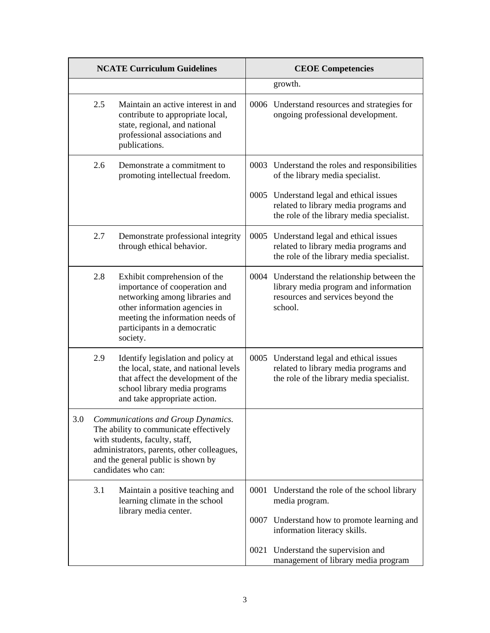| <b>NCATE Curriculum Guidelines</b> |     | <b>CEOE Competencies</b>                                                                                                                                                                                                  |      |                                                                                                                                            |
|------------------------------------|-----|---------------------------------------------------------------------------------------------------------------------------------------------------------------------------------------------------------------------------|------|--------------------------------------------------------------------------------------------------------------------------------------------|
|                                    |     |                                                                                                                                                                                                                           |      | growth.                                                                                                                                    |
|                                    | 2.5 | Maintain an active interest in and<br>contribute to appropriate local,<br>state, regional, and national<br>professional associations and<br>publications.                                                                 |      | 0006 Understand resources and strategies for<br>ongoing professional development.                                                          |
|                                    | 2.6 | Demonstrate a commitment to<br>promoting intellectual freedom.                                                                                                                                                            |      | 0003 Understand the roles and responsibilities<br>of the library media specialist.                                                         |
|                                    |     |                                                                                                                                                                                                                           |      | 0005 Understand legal and ethical issues<br>related to library media programs and<br>the role of the library media specialist.             |
|                                    | 2.7 | Demonstrate professional integrity<br>through ethical behavior.                                                                                                                                                           |      | 0005 Understand legal and ethical issues<br>related to library media programs and<br>the role of the library media specialist.             |
|                                    | 2.8 | Exhibit comprehension of the<br>importance of cooperation and<br>networking among libraries and<br>other information agencies in<br>meeting the information needs of<br>participants in a democratic<br>society.          |      | 0004 Understand the relationship between the<br>library media program and information<br>resources and services beyond the<br>school.      |
|                                    | 2.9 | Identify legislation and policy at<br>the local, state, and national levels<br>that affect the development of the<br>school library media programs<br>and take appropriate action.                                        |      | 0005 Understand legal and ethical issues<br>related to library media programs and<br>the role of the library media specialist.             |
| 3.0                                |     | Communications and Group Dynamics.<br>The ability to communicate effectively<br>with students, faculty, staff,<br>administrators, parents, other colleagues,<br>and the general public is shown by<br>candidates who can: |      |                                                                                                                                            |
|                                    | 3.1 | Maintain a positive teaching and<br>learning climate in the school<br>library media center.                                                                                                                               | 0001 | Understand the role of the school library<br>media program.<br>0007 Understand how to promote learning and<br>information literacy skills. |
|                                    |     |                                                                                                                                                                                                                           | 0021 | Understand the supervision and<br>management of library media program                                                                      |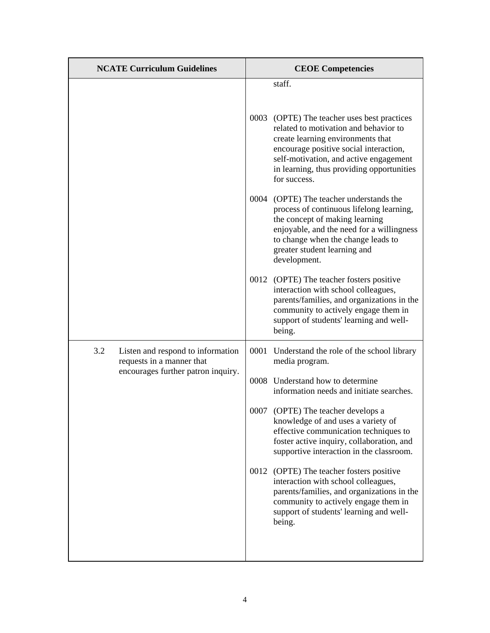| <b>NCATE Curriculum Guidelines</b>                                    | <b>CEOE</b> Competencies                                                                                                                                                                                                                                                   |
|-----------------------------------------------------------------------|----------------------------------------------------------------------------------------------------------------------------------------------------------------------------------------------------------------------------------------------------------------------------|
|                                                                       | staff.                                                                                                                                                                                                                                                                     |
|                                                                       | 0003 (OPTE) The teacher uses best practices<br>related to motivation and behavior to<br>create learning environments that<br>encourage positive social interaction,<br>self-motivation, and active engagement<br>in learning, thus providing opportunities<br>for success. |
|                                                                       | 0004 (OPTE) The teacher understands the<br>process of continuous lifelong learning,<br>the concept of making learning<br>enjoyable, and the need for a willingness<br>to change when the change leads to<br>greater student learning and<br>development.                   |
|                                                                       | 0012 (OPTE) The teacher fosters positive<br>interaction with school colleagues,<br>parents/families, and organizations in the<br>community to actively engage them in<br>support of students' learning and well-<br>being.                                                 |
| 3.2<br>Listen and respond to information<br>requests in a manner that | 0001 Understand the role of the school library<br>media program.                                                                                                                                                                                                           |
| encourages further patron inquiry.                                    | 0008 Understand how to determine<br>information needs and initiate searches.                                                                                                                                                                                               |
|                                                                       | (OPTE) The teacher develops a<br>0007<br>knowledge of and uses a variety of<br>effective communication techniques to<br>foster active inquiry, collaboration, and<br>supportive interaction in the classroom.                                                              |
|                                                                       | 0012<br>(OPTE) The teacher fosters positive<br>interaction with school colleagues,<br>parents/families, and organizations in the<br>community to actively engage them in<br>support of students' learning and well-<br>being.                                              |
|                                                                       |                                                                                                                                                                                                                                                                            |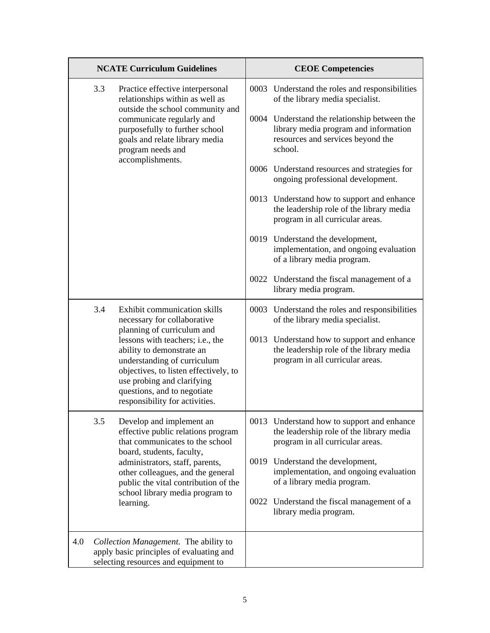|     | <b>NCATE Curriculum Guidelines</b>                                                                                                                                                                                                   |                                                                                                                                                                                                                                      |                                                                                    | <b>CEOE Competencies</b>                                                                                                              |  |  |
|-----|--------------------------------------------------------------------------------------------------------------------------------------------------------------------------------------------------------------------------------------|--------------------------------------------------------------------------------------------------------------------------------------------------------------------------------------------------------------------------------------|------------------------------------------------------------------------------------|---------------------------------------------------------------------------------------------------------------------------------------|--|--|
|     | 3.3<br>Practice effective interpersonal<br>relationships within as well as<br>outside the school community and<br>communicate regularly and<br>purposefully to further school<br>goals and relate library media<br>program needs and |                                                                                                                                                                                                                                      | 0003 Understand the roles and responsibilities<br>of the library media specialist. |                                                                                                                                       |  |  |
|     |                                                                                                                                                                                                                                      |                                                                                                                                                                                                                                      |                                                                                    | 0004 Understand the relationship between the<br>library media program and information<br>resources and services beyond the<br>school. |  |  |
|     |                                                                                                                                                                                                                                      | accomplishments.                                                                                                                                                                                                                     |                                                                                    | 0006 Understand resources and strategies for<br>ongoing professional development.                                                     |  |  |
|     |                                                                                                                                                                                                                                      |                                                                                                                                                                                                                                      |                                                                                    | 0013 Understand how to support and enhance<br>the leadership role of the library media<br>program in all curricular areas.            |  |  |
|     |                                                                                                                                                                                                                                      |                                                                                                                                                                                                                                      |                                                                                    | 0019 Understand the development,<br>implementation, and ongoing evaluation<br>of a library media program.                             |  |  |
|     |                                                                                                                                                                                                                                      |                                                                                                                                                                                                                                      |                                                                                    | 0022 Understand the fiscal management of a<br>library media program.                                                                  |  |  |
|     | 3.4                                                                                                                                                                                                                                  | Exhibit communication skills<br>necessary for collaborative<br>planning of curriculum and                                                                                                                                            |                                                                                    | 0003 Understand the roles and responsibilities<br>of the library media specialist.                                                    |  |  |
|     |                                                                                                                                                                                                                                      | lessons with teachers; i.e., the<br>ability to demonstrate an<br>understanding of curriculum<br>objectives, to listen effectively, to<br>use probing and clarifying<br>questions, and to negotiate<br>responsibility for activities. |                                                                                    | 0013 Understand how to support and enhance<br>the leadership role of the library media<br>program in all curricular areas.            |  |  |
|     | 3.5                                                                                                                                                                                                                                  | Develop and implement an<br>effective public relations program<br>that communicates to the school                                                                                                                                    |                                                                                    | 0013 Understand how to support and enhance<br>the leadership role of the library media<br>program in all curricular areas.            |  |  |
|     |                                                                                                                                                                                                                                      | board, students, faculty,<br>administrators, staff, parents,<br>other colleagues, and the general<br>public the vital contribution of the                                                                                            |                                                                                    | 0019 Understand the development,<br>implementation, and ongoing evaluation<br>of a library media program.                             |  |  |
|     |                                                                                                                                                                                                                                      | school library media program to<br>learning.                                                                                                                                                                                         |                                                                                    | 0022 Understand the fiscal management of a<br>library media program.                                                                  |  |  |
| 4.0 | Collection Management. The ability to<br>apply basic principles of evaluating and<br>selecting resources and equipment to                                                                                                            |                                                                                                                                                                                                                                      |                                                                                    |                                                                                                                                       |  |  |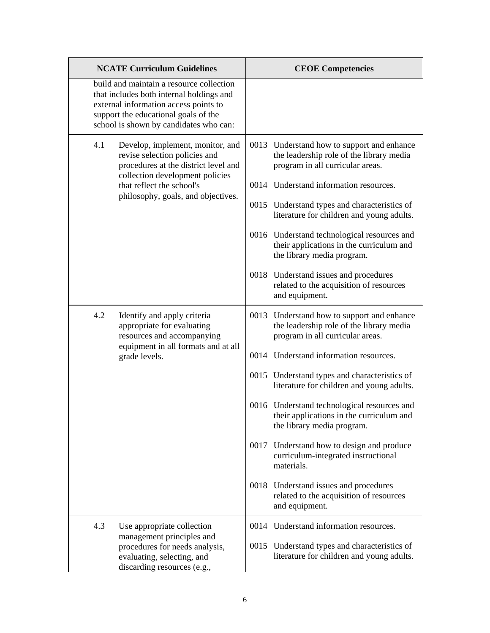| <b>NCATE Curriculum Guidelines</b>                                                                                                                                                                                     | <b>CEOE Competencies</b>                                                                                                                                                                                                                                                                                                                                                                                                                                                       |  |
|------------------------------------------------------------------------------------------------------------------------------------------------------------------------------------------------------------------------|--------------------------------------------------------------------------------------------------------------------------------------------------------------------------------------------------------------------------------------------------------------------------------------------------------------------------------------------------------------------------------------------------------------------------------------------------------------------------------|--|
| build and maintain a resource collection<br>that includes both internal holdings and<br>external information access points to<br>support the educational goals of the<br>school is shown by candidates who can:        |                                                                                                                                                                                                                                                                                                                                                                                                                                                                                |  |
| 4.1<br>Develop, implement, monitor, and<br>revise selection policies and<br>procedures at the district level and<br>collection development policies<br>that reflect the school's<br>philosophy, goals, and objectives. | 0013 Understand how to support and enhance<br>the leadership role of the library media<br>program in all curricular areas.<br>0014 Understand information resources.<br>0015 Understand types and characteristics of<br>literature for children and young adults.<br>0016 Understand technological resources and<br>their applications in the curriculum and<br>the library media program.<br>0018 Understand issues and procedures<br>related to the acquisition of resources |  |
|                                                                                                                                                                                                                        | and equipment.                                                                                                                                                                                                                                                                                                                                                                                                                                                                 |  |
| 4.2<br>Identify and apply criteria<br>appropriate for evaluating<br>resources and accompanying<br>equipment in all formats and at all<br>grade levels.                                                                 | 0013 Understand how to support and enhance<br>the leadership role of the library media<br>program in all curricular areas.<br>0014 Understand information resources.                                                                                                                                                                                                                                                                                                           |  |
|                                                                                                                                                                                                                        | 0015 Understand types and characteristics of<br>literature for children and young adults.                                                                                                                                                                                                                                                                                                                                                                                      |  |
|                                                                                                                                                                                                                        | 0016 Understand technological resources and<br>their applications in the curriculum and<br>the library media program.                                                                                                                                                                                                                                                                                                                                                          |  |
|                                                                                                                                                                                                                        | 0017 Understand how to design and produce<br>curriculum-integrated instructional<br>materials.                                                                                                                                                                                                                                                                                                                                                                                 |  |
|                                                                                                                                                                                                                        | 0018 Understand issues and procedures<br>related to the acquisition of resources<br>and equipment.                                                                                                                                                                                                                                                                                                                                                                             |  |
| 4.3<br>Use appropriate collection                                                                                                                                                                                      | 0014 Understand information resources.                                                                                                                                                                                                                                                                                                                                                                                                                                         |  |
| management principles and<br>procedures for needs analysis,<br>evaluating, selecting, and<br>discarding resources (e.g.,                                                                                               | 0015 Understand types and characteristics of<br>literature for children and young adults.                                                                                                                                                                                                                                                                                                                                                                                      |  |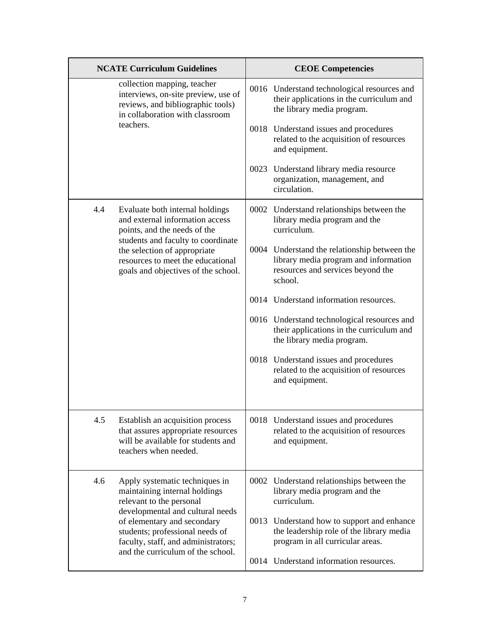|     | <b>NCATE Curriculum Guidelines</b>                                                                                                                                                                                                       | <b>CEOE Competencies</b> |                                                                                                                                       |
|-----|------------------------------------------------------------------------------------------------------------------------------------------------------------------------------------------------------------------------------------------|--------------------------|---------------------------------------------------------------------------------------------------------------------------------------|
|     | collection mapping, teacher<br>interviews, on-site preview, use of<br>reviews, and bibliographic tools)<br>in collaboration with classroom                                                                                               |                          | 0016 Understand technological resources and<br>their applications in the curriculum and<br>the library media program.                 |
|     | teachers.                                                                                                                                                                                                                                |                          | 0018 Understand issues and procedures<br>related to the acquisition of resources<br>and equipment.                                    |
|     |                                                                                                                                                                                                                                          |                          | 0023 Understand library media resource<br>organization, management, and<br>circulation.                                               |
| 4.4 | Evaluate both internal holdings<br>and external information access<br>points, and the needs of the                                                                                                                                       |                          | 0002 Understand relationships between the<br>library media program and the<br>curriculum.                                             |
|     | students and faculty to coordinate<br>the selection of appropriate<br>resources to meet the educational<br>goals and objectives of the school.                                                                                           |                          | 0004 Understand the relationship between the<br>library media program and information<br>resources and services beyond the<br>school. |
|     |                                                                                                                                                                                                                                          |                          | 0014 Understand information resources.                                                                                                |
|     |                                                                                                                                                                                                                                          |                          | 0016 Understand technological resources and<br>their applications in the curriculum and<br>the library media program.                 |
|     |                                                                                                                                                                                                                                          |                          | 0018 Understand issues and procedures<br>related to the acquisition of resources<br>and equipment.                                    |
| 4.5 | Establish an acquisition process<br>that assures appropriate resources<br>will be available for students and<br>teachers when needed.                                                                                                    |                          | 0018 Understand issues and procedures<br>related to the acquisition of resources<br>and equipment.                                    |
| 4.6 | Apply systematic techniques in<br>maintaining internal holdings<br>relevant to the personal<br>developmental and cultural needs<br>of elementary and secondary<br>students; professional needs of<br>faculty, staff, and administrators; |                          | 0002 Understand relationships between the<br>library media program and the<br>curriculum.                                             |
|     |                                                                                                                                                                                                                                          | 0013                     | Understand how to support and enhance<br>the leadership role of the library media<br>program in all curricular areas.                 |
|     | and the curriculum of the school.                                                                                                                                                                                                        |                          | 0014 Understand information resources.                                                                                                |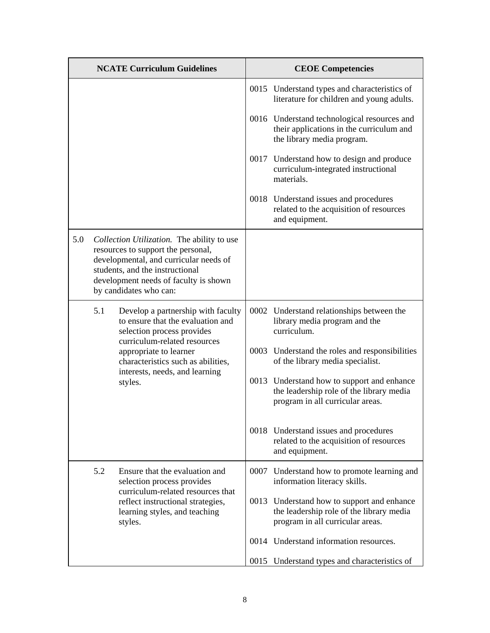|     |     | <b>NCATE Curriculum Guidelines</b>                                                                                                                                                                                               | <b>CEOE Competencies</b>                                                                                                   |
|-----|-----|----------------------------------------------------------------------------------------------------------------------------------------------------------------------------------------------------------------------------------|----------------------------------------------------------------------------------------------------------------------------|
|     |     |                                                                                                                                                                                                                                  | 0015 Understand types and characteristics of<br>literature for children and young adults.                                  |
|     |     |                                                                                                                                                                                                                                  | 0016 Understand technological resources and<br>their applications in the curriculum and<br>the library media program.      |
|     |     |                                                                                                                                                                                                                                  | 0017 Understand how to design and produce<br>curriculum-integrated instructional<br>materials.                             |
|     |     |                                                                                                                                                                                                                                  | 0018 Understand issues and procedures<br>related to the acquisition of resources<br>and equipment.                         |
| 5.0 |     | Collection Utilization. The ability to use<br>resources to support the personal,<br>developmental, and curricular needs of<br>students, and the instructional<br>development needs of faculty is shown<br>by candidates who can: |                                                                                                                            |
|     | 5.1 | Develop a partnership with faculty<br>to ensure that the evaluation and<br>selection process provides<br>curriculum-related resources                                                                                            | 0002 Understand relationships between the<br>library media program and the<br>curriculum.                                  |
|     |     | appropriate to learner<br>characteristics such as abilities,                                                                                                                                                                     | 0003 Understand the roles and responsibilities<br>of the library media specialist.                                         |
|     |     | interests, needs, and learning<br>styles.                                                                                                                                                                                        | 0013 Understand how to support and enhance<br>the leadership role of the library media<br>program in all curricular areas. |
|     |     |                                                                                                                                                                                                                                  | 0018 Understand issues and procedures<br>related to the acquisition of resources<br>and equipment.                         |
|     | 5.2 | Ensure that the evaluation and<br>selection process provides                                                                                                                                                                     | 0007 Understand how to promote learning and<br>information literacy skills.                                                |
|     |     | curriculum-related resources that<br>reflect instructional strategies,<br>learning styles, and teaching<br>styles.                                                                                                               | 0013 Understand how to support and enhance<br>the leadership role of the library media<br>program in all curricular areas. |
|     |     |                                                                                                                                                                                                                                  | 0014 Understand information resources.                                                                                     |
|     |     |                                                                                                                                                                                                                                  | 0015 Understand types and characteristics of                                                                               |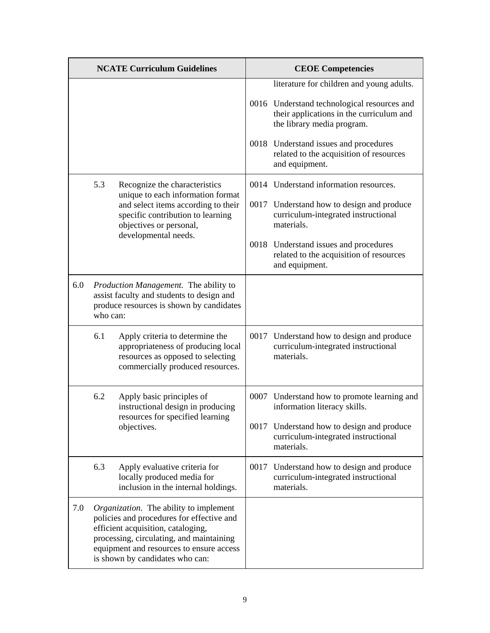| <b>NCATE Curriculum Guidelines</b> |          |                                                                                                                                                                                                                                                      | <b>CEOE Competencies</b> |                                                                                                                       |  |
|------------------------------------|----------|------------------------------------------------------------------------------------------------------------------------------------------------------------------------------------------------------------------------------------------------------|--------------------------|-----------------------------------------------------------------------------------------------------------------------|--|
|                                    |          |                                                                                                                                                                                                                                                      |                          | literature for children and young adults.                                                                             |  |
|                                    |          |                                                                                                                                                                                                                                                      |                          | 0016 Understand technological resources and<br>their applications in the curriculum and<br>the library media program. |  |
|                                    |          |                                                                                                                                                                                                                                                      |                          | 0018 Understand issues and procedures<br>related to the acquisition of resources<br>and equipment.                    |  |
|                                    | 5.3      | Recognize the characteristics<br>unique to each information format                                                                                                                                                                                   |                          | 0014 Understand information resources.                                                                                |  |
|                                    |          | and select items according to their<br>specific contribution to learning<br>objectives or personal,                                                                                                                                                  |                          | 0017 Understand how to design and produce<br>curriculum-integrated instructional<br>materials.                        |  |
|                                    |          | developmental needs.                                                                                                                                                                                                                                 |                          | 0018 Understand issues and procedures<br>related to the acquisition of resources<br>and equipment.                    |  |
| 6.0                                | who can: | Production Management. The ability to<br>assist faculty and students to design and<br>produce resources is shown by candidates                                                                                                                       |                          |                                                                                                                       |  |
|                                    | 6.1      | Apply criteria to determine the<br>appropriateness of producing local<br>resources as opposed to selecting<br>commercially produced resources.                                                                                                       |                          | 0017 Understand how to design and produce<br>curriculum-integrated instructional<br>materials.                        |  |
|                                    | 6.2      | Apply basic principles of<br>instructional design in producing                                                                                                                                                                                       | 0007                     | Understand how to promote learning and<br>information literacy skills.                                                |  |
|                                    |          | resources for specified learning<br>objectives.                                                                                                                                                                                                      |                          | 0017 Understand how to design and produce<br>curriculum-integrated instructional<br>materials.                        |  |
|                                    | 6.3      | Apply evaluative criteria for<br>locally produced media for<br>inclusion in the internal holdings.                                                                                                                                                   |                          | 0017 Understand how to design and produce<br>curriculum-integrated instructional<br>materials.                        |  |
| 7.0                                |          | Organization. The ability to implement<br>policies and procedures for effective and<br>efficient acquisition, cataloging,<br>processing, circulating, and maintaining<br>equipment and resources to ensure access<br>is shown by candidates who can: |                          |                                                                                                                       |  |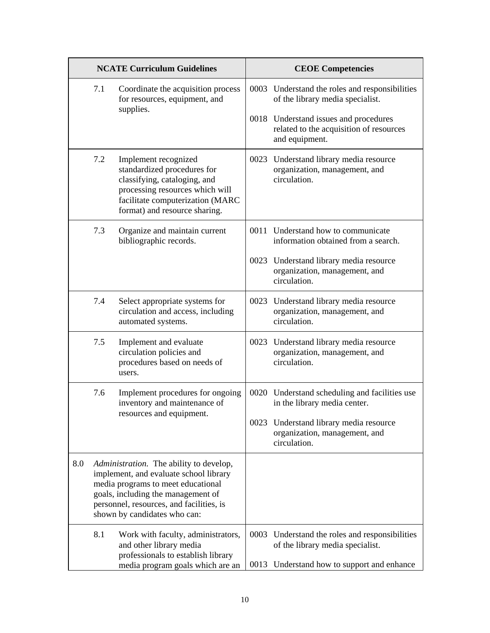|     |     | <b>NCATE Curriculum Guidelines</b>                                                                                                                                                                                                        | <b>CEOE Competencies</b> |                                                                                                                             |  |
|-----|-----|-------------------------------------------------------------------------------------------------------------------------------------------------------------------------------------------------------------------------------------------|--------------------------|-----------------------------------------------------------------------------------------------------------------------------|--|
|     | 7.1 | Coordinate the acquisition process<br>for resources, equipment, and<br>supplies.                                                                                                                                                          |                          | 0003 Understand the roles and responsibilities<br>of the library media specialist.                                          |  |
|     |     |                                                                                                                                                                                                                                           |                          | 0018 Understand issues and procedures<br>related to the acquisition of resources<br>and equipment.                          |  |
|     | 7.2 | Implement recognized<br>standardized procedures for<br>classifying, cataloging, and<br>processing resources which will<br>facilitate computerization (MARC<br>format) and resource sharing.                                               |                          | 0023 Understand library media resource<br>organization, management, and<br>circulation.                                     |  |
|     | 7.3 | Organize and maintain current<br>bibliographic records.                                                                                                                                                                                   |                          | 0011 Understand how to communicate<br>information obtained from a search.                                                   |  |
|     |     |                                                                                                                                                                                                                                           |                          | 0023 Understand library media resource<br>organization, management, and<br>circulation.                                     |  |
|     | 7.4 | Select appropriate systems for<br>circulation and access, including<br>automated systems.                                                                                                                                                 |                          | 0023 Understand library media resource<br>organization, management, and<br>circulation.                                     |  |
|     | 7.5 | Implement and evaluate<br>circulation policies and<br>procedures based on needs of<br>users.                                                                                                                                              |                          | 0023 Understand library media resource<br>organization, management, and<br>circulation.                                     |  |
|     | 7.6 | Implement procedures for ongoing<br>inventory and maintenance of                                                                                                                                                                          |                          | 0020 Understand scheduling and facilities use<br>in the library media center.                                               |  |
|     |     | resources and equipment.                                                                                                                                                                                                                  |                          | 0023 Understand library media resource<br>organization, management, and<br>circulation.                                     |  |
| 8.0 |     | Administration. The ability to develop,<br>implement, and evaluate school library<br>media programs to meet educational<br>goals, including the management of<br>personnel, resources, and facilities, is<br>shown by candidates who can: |                          |                                                                                                                             |  |
|     | 8.1 | Work with faculty, administrators,<br>and other library media<br>professionals to establish library<br>media program goals which are an                                                                                                   | 0013                     | 0003 Understand the roles and responsibilities<br>of the library media specialist.<br>Understand how to support and enhance |  |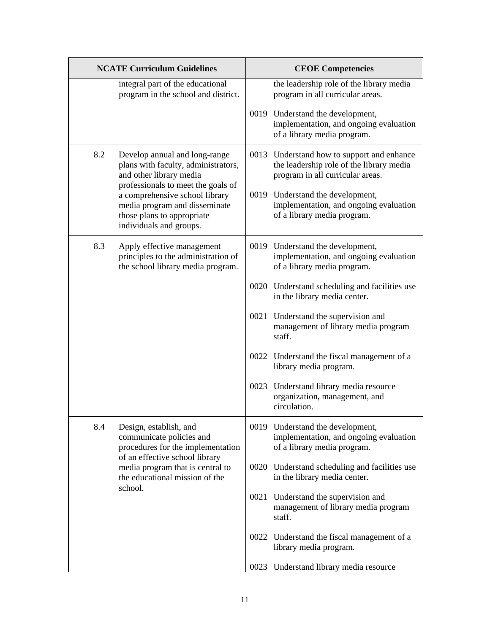|     | <b>NCATE Curriculum Guidelines</b>                                                                                                    | <b>CEOE Competencies</b> |                                                                                                                            |  |
|-----|---------------------------------------------------------------------------------------------------------------------------------------|--------------------------|----------------------------------------------------------------------------------------------------------------------------|--|
|     | integral part of the educational<br>program in the school and district.                                                               |                          | the leadership role of the library media<br>program in all curricular areas.                                               |  |
|     |                                                                                                                                       |                          | 0019 Understand the development,<br>implementation, and ongoing evaluation<br>of a library media program.                  |  |
| 8.2 | Develop annual and long-range<br>plans with faculty, administrators,<br>and other library media<br>professionals to meet the goals of |                          | 0013 Understand how to support and enhance<br>the leadership role of the library media<br>program in all curricular areas. |  |
|     | a comprehensive school library<br>media program and disseminate<br>those plans to appropriate<br>individuals and groups.              |                          | 0019 Understand the development,<br>implementation, and ongoing evaluation<br>of a library media program.                  |  |
| 8.3 | Apply effective management<br>principles to the administration of<br>the school library media program.                                |                          | 0019 Understand the development,<br>implementation, and ongoing evaluation<br>of a library media program.                  |  |
|     |                                                                                                                                       |                          | 0020 Understand scheduling and facilities use<br>in the library media center.                                              |  |
|     |                                                                                                                                       |                          | 0021 Understand the supervision and<br>management of library media program<br>staff.                                       |  |
|     |                                                                                                                                       |                          | 0022 Understand the fiscal management of a<br>library media program.                                                       |  |
|     |                                                                                                                                       |                          | 0023 Understand library media resource<br>organization, management, and<br>circulation.                                    |  |
| 8.4 | Design, establish, and<br>communicate policies and<br>procedures for the implementation                                               |                          | 0019 Understand the development,<br>implementation, and ongoing evaluation<br>of a library media program.                  |  |
|     | of an effective school library<br>media program that is central to<br>the educational mission of the                                  |                          | 0020 Understand scheduling and facilities use<br>in the library media center.                                              |  |
|     | school.                                                                                                                               |                          | 0021 Understand the supervision and<br>management of library media program<br>staff.                                       |  |
|     |                                                                                                                                       |                          | 0022 Understand the fiscal management of a<br>library media program.                                                       |  |
|     |                                                                                                                                       |                          | 0023 Understand library media resource                                                                                     |  |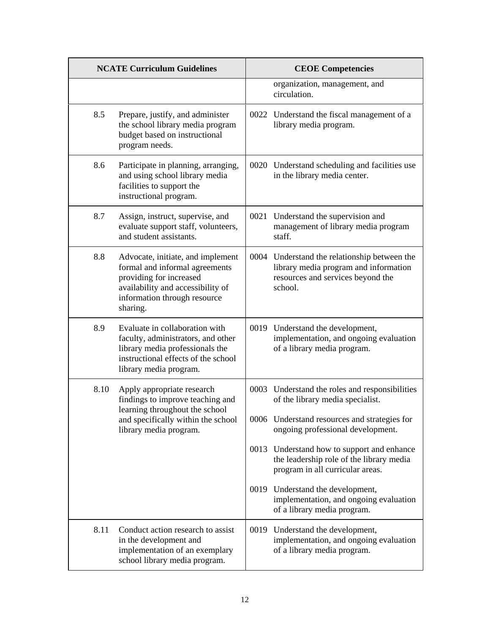|      | <b>NCATE Curriculum Guidelines</b>                                                                                                                                              | <b>CEOE Competencies</b> |                                                                                                                                       |
|------|---------------------------------------------------------------------------------------------------------------------------------------------------------------------------------|--------------------------|---------------------------------------------------------------------------------------------------------------------------------------|
|      |                                                                                                                                                                                 |                          | organization, management, and<br>circulation.                                                                                         |
| 8.5  | Prepare, justify, and administer<br>the school library media program<br>budget based on instructional<br>program needs.                                                         |                          | 0022 Understand the fiscal management of a<br>library media program.                                                                  |
| 8.6  | Participate in planning, arranging,<br>and using school library media<br>facilities to support the<br>instructional program.                                                    |                          | 0020 Understand scheduling and facilities use<br>in the library media center.                                                         |
| 8.7  | Assign, instruct, supervise, and<br>evaluate support staff, volunteers,<br>and student assistants.                                                                              |                          | 0021 Understand the supervision and<br>management of library media program<br>staff.                                                  |
| 8.8  | Advocate, initiate, and implement<br>formal and informal agreements<br>providing for increased<br>availability and accessibility of<br>information through resource<br>sharing. |                          | 0004 Understand the relationship between the<br>library media program and information<br>resources and services beyond the<br>school. |
| 8.9  | Evaluate in collaboration with<br>faculty, administrators, and other<br>library media professionals the<br>instructional effects of the school<br>library media program.        |                          | 0019 Understand the development,<br>implementation, and ongoing evaluation<br>of a library media program.                             |
| 8.10 | Apply appropriate research<br>findings to improve teaching and<br>learning throughout the school                                                                                |                          | 0003 Understand the roles and responsibilities<br>of the library media specialist.                                                    |
|      | and specifically within the school<br>library media program.                                                                                                                    |                          | 0006 Understand resources and strategies for<br>ongoing professional development.                                                     |
|      |                                                                                                                                                                                 |                          | 0013 Understand how to support and enhance<br>the leadership role of the library media<br>program in all curricular areas.            |
|      |                                                                                                                                                                                 |                          | 0019 Understand the development,<br>implementation, and ongoing evaluation<br>of a library media program.                             |
| 8.11 | Conduct action research to assist<br>in the development and<br>implementation of an exemplary<br>school library media program.                                                  |                          | 0019 Understand the development,<br>implementation, and ongoing evaluation<br>of a library media program.                             |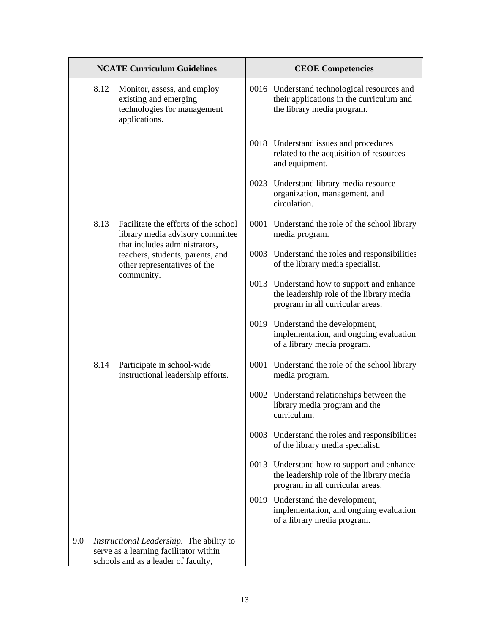| <b>NCATE Curriculum Guidelines</b> |      | <b>CEOE Competencies</b>                                                                                                  |  |                                                                                                                            |
|------------------------------------|------|---------------------------------------------------------------------------------------------------------------------------|--|----------------------------------------------------------------------------------------------------------------------------|
|                                    | 8.12 | Monitor, assess, and employ<br>existing and emerging<br>technologies for management<br>applications.                      |  | 0016 Understand technological resources and<br>their applications in the curriculum and<br>the library media program.      |
|                                    |      |                                                                                                                           |  | 0018 Understand issues and procedures<br>related to the acquisition of resources<br>and equipment.                         |
|                                    |      |                                                                                                                           |  | 0023 Understand library media resource<br>organization, management, and<br>circulation.                                    |
|                                    | 8.13 | Facilitate the efforts of the school<br>library media advisory committee<br>that includes administrators,                 |  | 0001 Understand the role of the school library<br>media program.                                                           |
|                                    |      | teachers, students, parents, and<br>other representatives of the                                                          |  | 0003 Understand the roles and responsibilities<br>of the library media specialist.                                         |
|                                    |      | community.                                                                                                                |  | 0013 Understand how to support and enhance<br>the leadership role of the library media<br>program in all curricular areas. |
|                                    |      |                                                                                                                           |  | 0019 Understand the development,<br>implementation, and ongoing evaluation<br>of a library media program.                  |
|                                    | 8.14 | Participate in school-wide<br>instructional leadership efforts.                                                           |  | 0001 Understand the role of the school library<br>media program.                                                           |
|                                    |      |                                                                                                                           |  | 0002 Understand relationships between the<br>library media program and the<br>curriculum.                                  |
|                                    |      |                                                                                                                           |  | 0003 Understand the roles and responsibilities<br>of the library media specialist.                                         |
|                                    |      |                                                                                                                           |  | 0013 Understand how to support and enhance<br>the leadership role of the library media<br>program in all curricular areas. |
|                                    |      |                                                                                                                           |  | 0019 Understand the development,<br>implementation, and ongoing evaluation<br>of a library media program.                  |
| 9.0                                |      | Instructional Leadership. The ability to<br>serve as a learning facilitator within<br>schools and as a leader of faculty, |  |                                                                                                                            |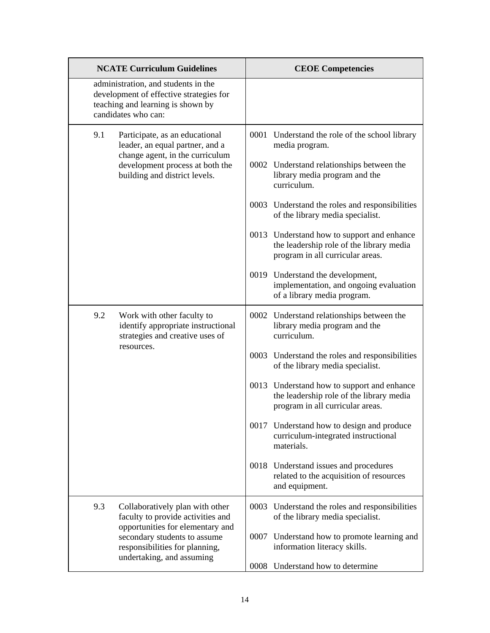| <b>NCATE Curriculum Guidelines</b>                                                                                                         | <b>CEOE Competencies</b>                                                                                                   |  |
|--------------------------------------------------------------------------------------------------------------------------------------------|----------------------------------------------------------------------------------------------------------------------------|--|
| administration, and students in the<br>development of effective strategies for<br>teaching and learning is shown by<br>candidates who can: |                                                                                                                            |  |
| 9.1<br>Participate, as an educational<br>leader, an equal partner, and a                                                                   | 0001 Understand the role of the school library<br>media program.                                                           |  |
| change agent, in the curriculum<br>development process at both the<br>building and district levels.                                        | 0002 Understand relationships between the<br>library media program and the<br>curriculum.                                  |  |
|                                                                                                                                            | 0003 Understand the roles and responsibilities<br>of the library media specialist.                                         |  |
|                                                                                                                                            | 0013 Understand how to support and enhance<br>the leadership role of the library media<br>program in all curricular areas. |  |
|                                                                                                                                            | 0019 Understand the development,<br>implementation, and ongoing evaluation<br>of a library media program.                  |  |
| 9.2<br>Work with other faculty to<br>identify appropriate instructional<br>strategies and creative uses of<br>resources.                   | 0002 Understand relationships between the<br>library media program and the<br>curriculum.                                  |  |
|                                                                                                                                            | 0003 Understand the roles and responsibilities<br>of the library media specialist.                                         |  |
|                                                                                                                                            | 0013 Understand how to support and enhance<br>the leadership role of the library media<br>program in all curricular areas. |  |
|                                                                                                                                            | 0017 Understand how to design and produce<br>curriculum-integrated instructional<br>materials.                             |  |
|                                                                                                                                            | 0018 Understand issues and procedures<br>related to the acquisition of resources<br>and equipment.                         |  |
| 9.3<br>Collaboratively plan with other<br>faculty to provide activities and<br>opportunities for elementary and                            | 0003 Understand the roles and responsibilities<br>of the library media specialist.                                         |  |
| secondary students to assume<br>responsibilities for planning,<br>undertaking, and assuming                                                | 0007 Understand how to promote learning and<br>information literacy skills.                                                |  |
|                                                                                                                                            | 0008 Understand how to determine                                                                                           |  |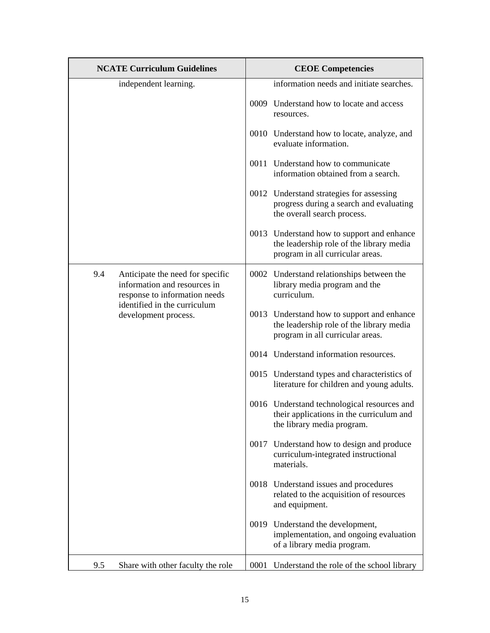|     | <b>NCATE Curriculum Guidelines</b>                                                                                                                        | <b>CEOE Competencies</b> |                                                                                                                            |
|-----|-----------------------------------------------------------------------------------------------------------------------------------------------------------|--------------------------|----------------------------------------------------------------------------------------------------------------------------|
|     | independent learning.                                                                                                                                     |                          | information needs and initiate searches.                                                                                   |
|     |                                                                                                                                                           |                          | 0009 Understand how to locate and access<br>resources.                                                                     |
|     |                                                                                                                                                           |                          | 0010 Understand how to locate, analyze, and<br>evaluate information.                                                       |
|     |                                                                                                                                                           |                          | 0011 Understand how to communicate<br>information obtained from a search.                                                  |
|     |                                                                                                                                                           |                          | 0012 Understand strategies for assessing<br>progress during a search and evaluating<br>the overall search process.         |
|     |                                                                                                                                                           |                          | 0013 Understand how to support and enhance<br>the leadership role of the library media<br>program in all curricular areas. |
| 9.4 | Anticipate the need for specific<br>information and resources in<br>response to information needs<br>identified in the curriculum<br>development process. |                          | 0002 Understand relationships between the<br>library media program and the<br>curriculum.                                  |
|     |                                                                                                                                                           |                          | 0013 Understand how to support and enhance<br>the leadership role of the library media<br>program in all curricular areas. |
|     |                                                                                                                                                           |                          | 0014 Understand information resources.                                                                                     |
|     |                                                                                                                                                           |                          | 0015 Understand types and characteristics of<br>literature for children and young adults.                                  |
|     |                                                                                                                                                           |                          | 0016 Understand technological resources and<br>their applications in the curriculum and<br>the library media program.      |
|     |                                                                                                                                                           |                          | 0017 Understand how to design and produce<br>curriculum-integrated instructional<br>materials.                             |
|     |                                                                                                                                                           |                          | 0018 Understand issues and procedures<br>related to the acquisition of resources<br>and equipment.                         |
|     |                                                                                                                                                           |                          | 0019 Understand the development,<br>implementation, and ongoing evaluation<br>of a library media program.                  |
| 9.5 | Share with other faculty the role                                                                                                                         |                          | 0001 Understand the role of the school library                                                                             |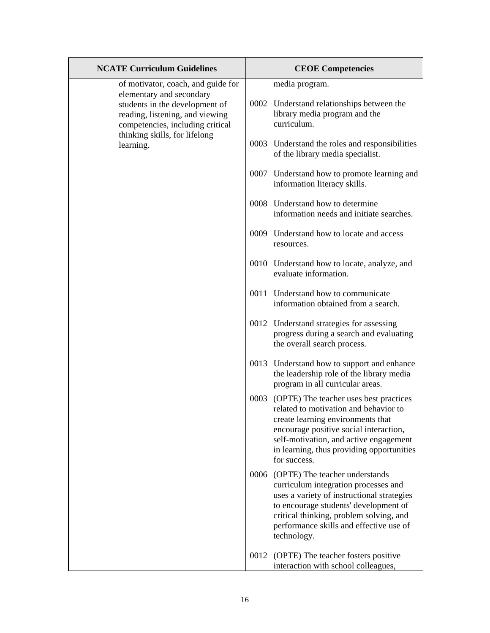| <b>NCATE Curriculum Guidelines</b>                                                                   | <b>CEOE Competencies</b>                                                                                                                                                                                                                                                   |
|------------------------------------------------------------------------------------------------------|----------------------------------------------------------------------------------------------------------------------------------------------------------------------------------------------------------------------------------------------------------------------------|
| of motivator, coach, and guide for<br>elementary and secondary<br>students in the development of     | media program.<br>0002 Understand relationships between the                                                                                                                                                                                                                |
| reading, listening, and viewing<br>competencies, including critical<br>thinking skills, for lifelong | library media program and the<br>curriculum.                                                                                                                                                                                                                               |
| learning.                                                                                            | 0003 Understand the roles and responsibilities<br>of the library media specialist.                                                                                                                                                                                         |
|                                                                                                      | 0007 Understand how to promote learning and<br>information literacy skills.                                                                                                                                                                                                |
|                                                                                                      | 0008 Understand how to determine<br>information needs and initiate searches.                                                                                                                                                                                               |
|                                                                                                      | 0009 Understand how to locate and access<br>resources.                                                                                                                                                                                                                     |
|                                                                                                      | 0010 Understand how to locate, analyze, and<br>evaluate information.                                                                                                                                                                                                       |
|                                                                                                      | 0011 Understand how to communicate<br>information obtained from a search.                                                                                                                                                                                                  |
|                                                                                                      | 0012 Understand strategies for assessing<br>progress during a search and evaluating<br>the overall search process.                                                                                                                                                         |
|                                                                                                      | 0013 Understand how to support and enhance<br>the leadership role of the library media<br>program in all curricular areas.                                                                                                                                                 |
|                                                                                                      | 0003 (OPTE) The teacher uses best practices<br>related to motivation and behavior to<br>create learning environments that<br>encourage positive social interaction,<br>self-motivation, and active engagement<br>in learning, thus providing opportunities<br>for success. |
|                                                                                                      | 0006 (OPTE) The teacher understands<br>curriculum integration processes and<br>uses a variety of instructional strategies<br>to encourage students' development of<br>critical thinking, problem solving, and<br>performance skills and effective use of<br>technology.    |
|                                                                                                      | 0012<br>(OPTE) The teacher fosters positive<br>interaction with school colleagues,                                                                                                                                                                                         |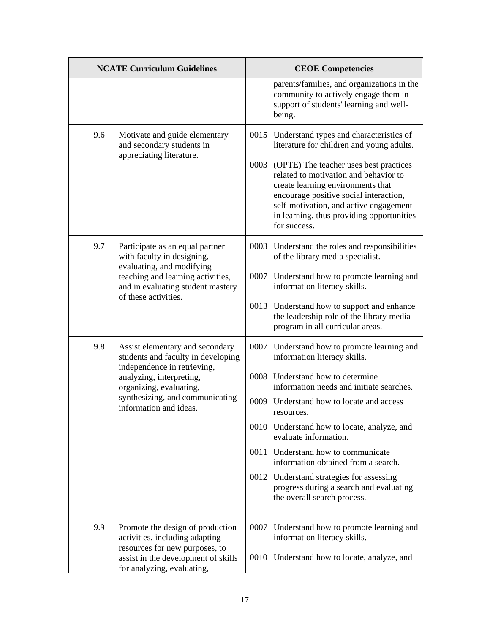| <b>NCATE Curriculum Guidelines</b> |                                                                                                     | <b>CEOE Competencies</b> |                                                                                                                                                                                                                                                                            |
|------------------------------------|-----------------------------------------------------------------------------------------------------|--------------------------|----------------------------------------------------------------------------------------------------------------------------------------------------------------------------------------------------------------------------------------------------------------------------|
|                                    |                                                                                                     |                          | parents/families, and organizations in the<br>community to actively engage them in<br>support of students' learning and well-<br>being.                                                                                                                                    |
| 9.6                                | Motivate and guide elementary<br>and secondary students in                                          |                          | 0015 Understand types and characteristics of<br>literature for children and young adults.                                                                                                                                                                                  |
|                                    | appreciating literature.                                                                            |                          | 0003 (OPTE) The teacher uses best practices<br>related to motivation and behavior to<br>create learning environments that<br>encourage positive social interaction,<br>self-motivation, and active engagement<br>in learning, thus providing opportunities<br>for success. |
| 9.7                                | Participate as an equal partner<br>with faculty in designing,                                       |                          | 0003 Understand the roles and responsibilities<br>of the library media specialist.                                                                                                                                                                                         |
|                                    | evaluating, and modifying<br>teaching and learning activities,<br>and in evaluating student mastery |                          | 0007 Understand how to promote learning and<br>information literacy skills.                                                                                                                                                                                                |
|                                    | of these activities.                                                                                |                          | 0013 Understand how to support and enhance<br>the leadership role of the library media<br>program in all curricular areas.                                                                                                                                                 |
| 9.8                                | Assist elementary and secondary<br>students and faculty in developing                               |                          | 0007 Understand how to promote learning and<br>information literacy skills.                                                                                                                                                                                                |
|                                    | independence in retrieving,<br>analyzing, interpreting,<br>organizing, evaluating,                  |                          | 0008 Understand how to determine<br>information needs and initiate searches.                                                                                                                                                                                               |
|                                    | synthesizing, and communicating<br>information and ideas.                                           |                          | 0009 Understand how to locate and access<br>resources.                                                                                                                                                                                                                     |
|                                    |                                                                                                     |                          | 0010 Understand how to locate, analyze, and<br>evaluate information.                                                                                                                                                                                                       |
|                                    |                                                                                                     |                          | 0011 Understand how to communicate<br>information obtained from a search.                                                                                                                                                                                                  |
|                                    |                                                                                                     |                          | 0012 Understand strategies for assessing<br>progress during a search and evaluating<br>the overall search process.                                                                                                                                                         |
| 9.9                                | Promote the design of production<br>activities, including adapting                                  |                          | 0007 Understand how to promote learning and<br>information literacy skills.                                                                                                                                                                                                |
|                                    | resources for new purposes, to<br>assist in the development of skills<br>for analyzing, evaluating, |                          | 0010 Understand how to locate, analyze, and                                                                                                                                                                                                                                |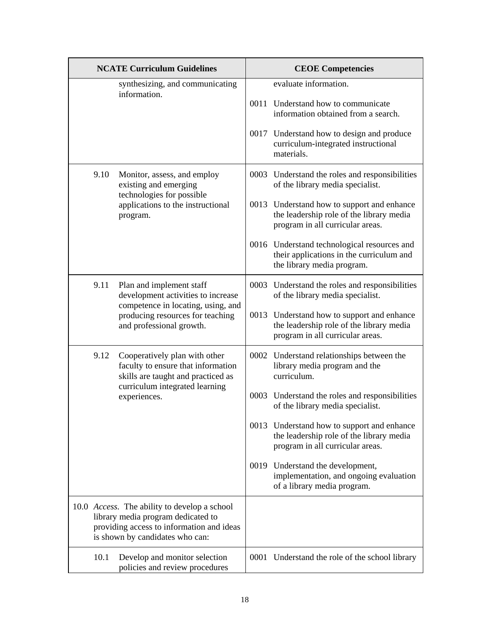| <b>NCATE Curriculum Guidelines</b>              |                                                                                                                                                                            | <b>CEOE Competencies</b> |                                                                                                                            |
|-------------------------------------------------|----------------------------------------------------------------------------------------------------------------------------------------------------------------------------|--------------------------|----------------------------------------------------------------------------------------------------------------------------|
| synthesizing, and communicating<br>information. |                                                                                                                                                                            |                          | evaluate information.                                                                                                      |
|                                                 |                                                                                                                                                                            |                          | 0011 Understand how to communicate<br>information obtained from a search.                                                  |
|                                                 |                                                                                                                                                                            |                          | 0017 Understand how to design and produce<br>curriculum-integrated instructional<br>materials.                             |
| 9.10                                            | Monitor, assess, and employ<br>existing and emerging<br>technologies for possible<br>applications to the instructional<br>program.                                         |                          | 0003 Understand the roles and responsibilities<br>of the library media specialist.                                         |
|                                                 |                                                                                                                                                                            |                          | 0013 Understand how to support and enhance<br>the leadership role of the library media<br>program in all curricular areas. |
|                                                 |                                                                                                                                                                            |                          | 0016 Understand technological resources and<br>their applications in the curriculum and<br>the library media program.      |
| 9.11                                            | Plan and implement staff<br>development activities to increase                                                                                                             |                          | 0003 Understand the roles and responsibilities<br>of the library media specialist.                                         |
|                                                 | competence in locating, using, and<br>producing resources for teaching<br>and professional growth.                                                                         |                          | 0013 Understand how to support and enhance<br>the leadership role of the library media<br>program in all curricular areas. |
| 9.12                                            | Cooperatively plan with other<br>faculty to ensure that information<br>skills are taught and practiced as<br>curriculum integrated learning<br>experiences.                |                          | 0002 Understand relationships between the<br>library media program and the<br>curriculum.                                  |
|                                                 |                                                                                                                                                                            |                          | 0003 Understand the roles and responsibilities<br>of the library media specialist.                                         |
|                                                 |                                                                                                                                                                            |                          | 0013 Understand how to support and enhance<br>the leadership role of the library media<br>program in all curricular areas. |
|                                                 |                                                                                                                                                                            |                          | 0019 Understand the development,<br>implementation, and ongoing evaluation<br>of a library media program.                  |
|                                                 | 10.0 <i>Access</i> . The ability to develop a school<br>library media program dedicated to<br>providing access to information and ideas<br>is shown by candidates who can: |                          |                                                                                                                            |
| 10.1                                            | Develop and monitor selection<br>policies and review procedures                                                                                                            |                          | 0001 Understand the role of the school library                                                                             |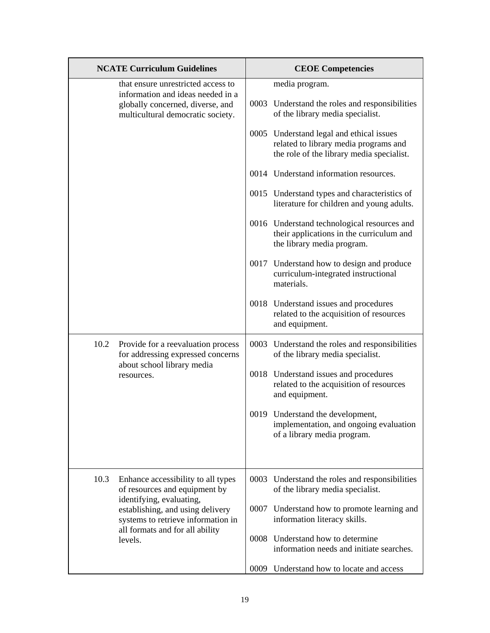| <b>NCATE Curriculum Guidelines</b>                                                                            | <b>CEOE Competencies</b>                                                                                              |  |
|---------------------------------------------------------------------------------------------------------------|-----------------------------------------------------------------------------------------------------------------------|--|
| that ensure unrestricted access to<br>information and ideas needed in a<br>globally concerned, diverse, and   | media program.<br>0003 Understand the roles and responsibilities                                                      |  |
| multicultural democratic society.                                                                             | of the library media specialist.<br>0005 Understand legal and ethical issues                                          |  |
|                                                                                                               | related to library media programs and<br>the role of the library media specialist.                                    |  |
|                                                                                                               | 0014 Understand information resources.                                                                                |  |
|                                                                                                               | 0015 Understand types and characteristics of<br>literature for children and young adults.                             |  |
|                                                                                                               | 0016 Understand technological resources and<br>their applications in the curriculum and<br>the library media program. |  |
|                                                                                                               | 0017 Understand how to design and produce<br>curriculum-integrated instructional<br>materials.                        |  |
|                                                                                                               | 0018 Understand issues and procedures<br>related to the acquisition of resources<br>and equipment.                    |  |
| 10.2<br>Provide for a reevaluation process<br>for addressing expressed concerns<br>about school library media | 0003 Understand the roles and responsibilities<br>of the library media specialist.                                    |  |
| resources.                                                                                                    | 0018 Understand issues and procedures<br>related to the acquisition of resources<br>and equipment.                    |  |
|                                                                                                               | 0019 Understand the development,<br>implementation, and ongoing evaluation<br>of a library media program.             |  |
|                                                                                                               |                                                                                                                       |  |
| 10.3<br>Enhance accessibility to all types<br>of resources and equipment by                                   | 0003 Understand the roles and responsibilities<br>of the library media specialist.                                    |  |
| identifying, evaluating,<br>establishing, and using delivery<br>systems to retrieve information in            | 0007 Understand how to promote learning and<br>information literacy skills.                                           |  |
| all formats and for all ability<br>levels.                                                                    | 0008 Understand how to determine<br>information needs and initiate searches.                                          |  |
|                                                                                                               | Understand how to locate and access<br>0009                                                                           |  |